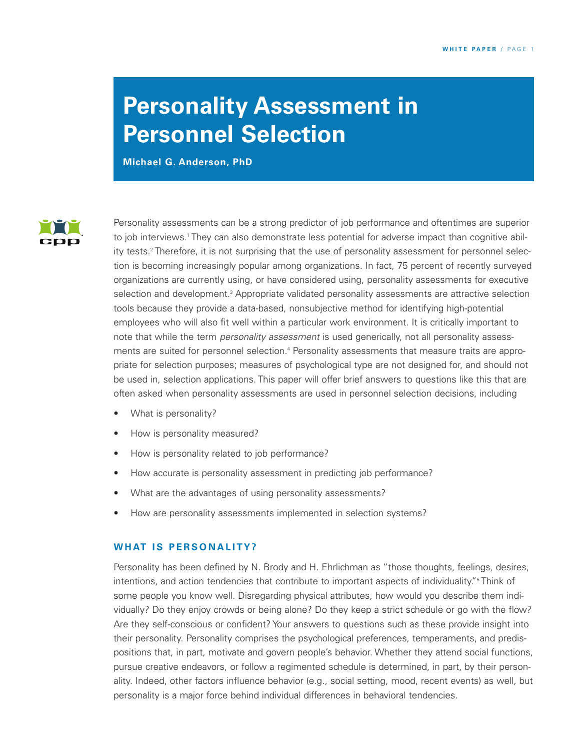# **Personality Assessment in Personnel Selection**

**Michael G. Anderson, PhD**



Personality assessments can be a strong predictor of job performance and oftentimes are superior to job interviews.<sup>1</sup> They can also demonstrate less potential for adverse impact than cognitive ability tests. <sup>2</sup> Therefore, it is not surprising that the use of personality assessment for personnel selection is becoming increasingly popular among organizations. In fact, 75 percent of recently surveyed organizations are currently using, or have considered using, personality assessments for executive selection and development. <sup>3</sup> Appropriate validated personality assessments are attractive selection tools because they provide a data-based, nonsubjective method for identifying high-potential employees who will also fit well within a particular work environment. It is critically important to note that while the term *personality assessment* is used generically, not all personality assessments are suited for personnel selection. <sup>4</sup> Personality assessments that measure traits are appropriate for selection purposes; measures of psychological type are not designed for, and should not be used in, selection applications. This paper will offer brief answers to questions like this that are often asked when personality assessments are used in personnel selection decisions, including

- What is personality?
- How is personality measured?
- How is personality related to job performance?
- How accurate is personality assessment in predicting job performance?
- What are the advantages of using personality assessments?
- How are personality assessments implemented in selection systems?

## **W H AT I S P ERS O N A L I TY?**

Personality has been defined by N. Brody and H. Ehrlichman as "those thoughts, feelings, desires, intentions, and action tendencies that contribute to important aspects of individuality."<sup>5</sup> Think of some people you know well. Disregarding physical attributes, how would you describe them individually? Do they enjoy crowds or being alone? Do they keep a strict schedule or go with the flow? Are they self-conscious or confident? Your answers to questions such as these provide insight into their personality. Personality comprises the psychological preferences, temperaments, and predispositions that, in part, motivate and govern people's behavior. Whether they attend social functions, pursue creative endeavors, or follow a regimented schedule is determined, in part, by their personality. Indeed, other factors influence behavior (e.g., social setting, mood, recent events) as well, but personality is a major force behind individual differences in behavioral tendencies.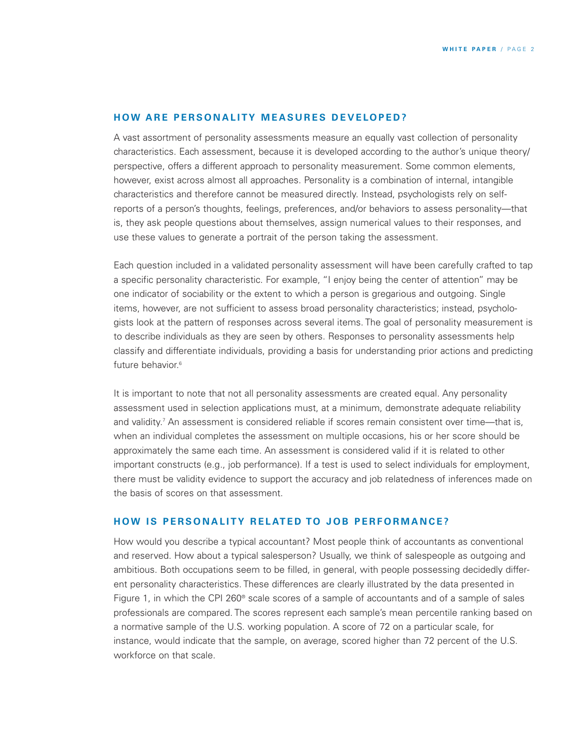### **HOW ARE PERSONALITY MEASURES DEVELOPED?**

A vast assortment of personality assessments measure an equally vast collection of personality characteristics. Each assessment, because it is developed according to the author's unique theory/ perspective, offers a different approach to personality measurement. Some common elements, however, exist across almost all approaches. Personality is a combination of internal, intangible characteristics and therefore cannot be measured directly. Instead, psychologists rely on selfreports of a person's thoughts, feelings, preferences, and/or behaviors to assess personality—that is, they ask people questions about themselves, assign numerical values to their responses, and use these values to generate a portrait of the person taking the assessment.

Each question included in a validated personality assessment will have been carefully crafted to tap a specific personality characteristic. For example, "I enjoy being the center of attention" may be one indicator of sociability or the extent to which a person is gregarious and outgoing. Single items, however, are not sufficient to assess broad personality characteristics; instead, psychologists look at the pattern of responses across several items. The goal of personality measurement is to describe individuals as they are seen by others. Responses to personality assessments help classify and differentiate individuals, providing a basis for understanding prior actions and predicting future behavior. 6

It is important to note that not all personality assessments are created equal. Any personality assessment used in selection applications must, at a minimum, demonstrate adequate reliability and validity. <sup>7</sup> An assessment is considered reliable if scores remain consistent over time—that is, when an individual completes the assessment on multiple occasions, his or her score should be approximately the same each time. An assessment is considered valid if it is related to other important constructs (e.g., job performance). If a test is used to select individuals for employment, there must be validity evidence to support the accuracy and job relatedness of inferences made on the basis of scores on that assessment.

## **HOW IS PERSONALITY RELATED TO JOB PERFORMANCE?**

How would you describe a typical accountant? Most people think of accountants as conventional and reserved. How about a typical salesperson? Usually, we think of salespeople as outgoing and ambitious. Both occupations seem to be filled, in general, with people possessing decidedly different personality characteristics. These differences are clearly illustrated by the data presented in Figure 1, in which the CPI 260® scale scores of a sample of accountants and of a sample of sales professionals are compared. The scores represent each sample's mean percentile ranking based on a normative sample of the U.S. working population. A score of 72 on a particular scale, for instance, would indicate that the sample, on average, scored higher than 72 percent of the U.S. workforce on that scale.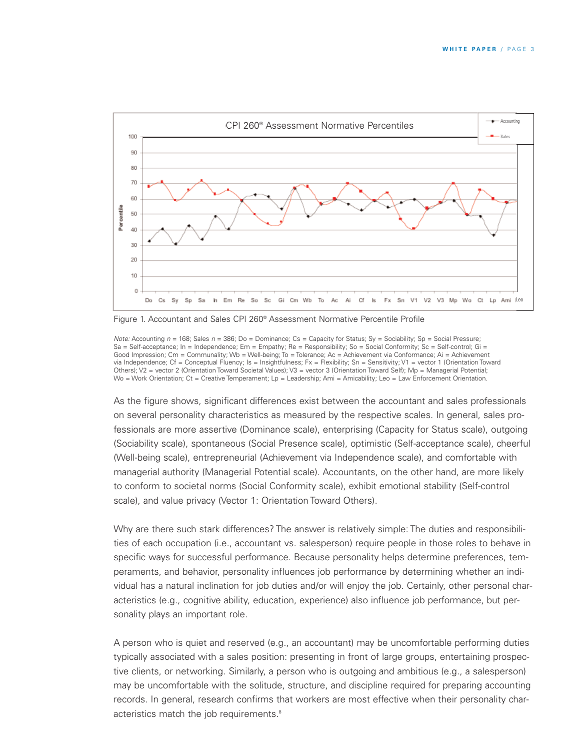

Figure 1. Accountant and Sales CPI 260® Assessment Normative Percentile Profile

*Note:* Accounting  $n = 168$ ; Sales  $n = 386$ ; Do = Dominance; Cs = Capacity for Status; Sy = Sociability; Sp = Social Pressure; Sa = Self-acceptance; In = Independence; Em = Empathy; Re = Responsibility; So = Social Conformity; Sc = Self-control; Gi = Good Impression; Cm = Communality; Wb = Well-being; To = Tolerance; Ac = Achievement via Conformance; Ai = Achievement via Independence; Cf = Conceptual Fluency; Is = Insightfulness; Fx = Flexibility; Sn = Sensitivity; V1 = vector 1 (Orientation Toward Others); V2 = vector 2 (Orientation Toward Societal Values); V3 = vector 3 (Orientation Toward Self); Mp = Managerial Potential; Wo = Work Orientation; Ct = Creative Temperament; Lp = Leadership; Ami = Amicability; Leo = Law Enforcement Orientation.

As the figure shows, significant differences exist between the accountant and sales professionals on several personality characteristics as measured by the respective scales. In general, sales professionals are more assertive (Dominance scale), enterprising (Capacity for Status scale), outgoing (Sociability scale), spontaneous (Social Presence scale), optimistic (Self-acceptance scale), cheerful (Well-being scale), entrepreneurial (Achievement via Independence scale), and comfortable with managerial authority (Managerial Potential scale). Accountants, on the other hand, are more likely to conform to societal norms (Social Conformity scale), exhibit emotional stability (Self-control scale), and value privacy (Vector 1: Orientation Toward Others).

Why are there such stark differences? The answer is relatively simple: The duties and responsibilities of each occupation (i.e., accountant vs. salesperson) require people in those roles to behave in specific ways for successful performance. Because personality helps determine preferences, temperaments, and behavior, personality influences job performance by determining whether an individual has a natural inclination for job duties and/or will enjoy the job. Certainly, other personal characteristics (e.g., cognitive ability, education, experience) also influence job performance, but personality plays an important role.

A person who is quiet and reserved (e.g., an accountant) may be uncomfortable performing duties typically associated with a sales position: presenting in front of large groups, entertaining prospective clients, or networking. Similarly, a person who is outgoing and ambitious (e.g., a salesperson) may be uncomfortable with the solitude, structure, and discipline required for preparing accounting records. In general, research confirms that workers are most effective when their personality characteristics match the job requirements. 8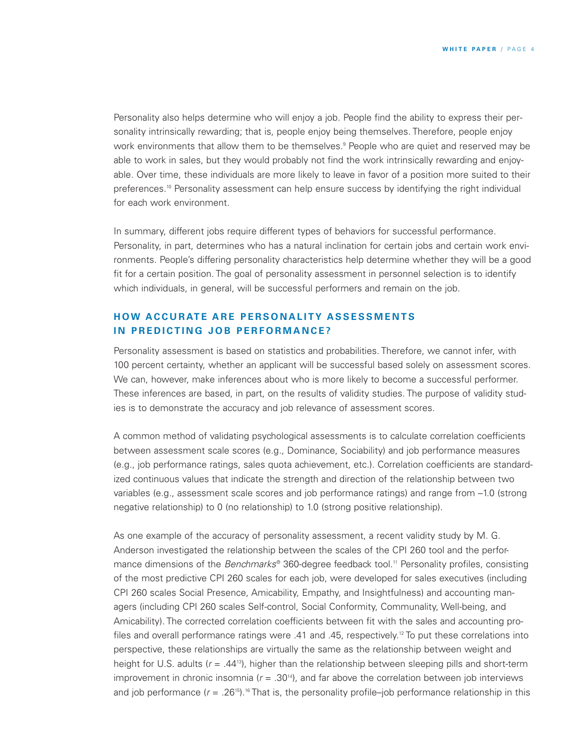Personality also helps determine who will enjoy a job. People find the ability to express their personality intrinsically rewarding; that is, people enjoy being themselves. Therefore, people enjoy work environments that allow them to be themselves.<sup>9</sup> People who are quiet and reserved may be able to work in sales, but they would probably not find the work intrinsically rewarding and enjoyable. Over time, these individuals are more likely to leave in favor of a position more suited to their preferences. <sup>10</sup> Personality assessment can help ensure success by identifying the right individual for each work environment.

In summary, different jobs require different types of behaviors for successful performance. Personality, in part, determines who has a natural inclination for certain jobs and certain work environments. People's differing personality characteristics help determine whether they will be a good fit for a certain position. The goal of personality assessment in personnel selection is to identify which individuals, in general, will be successful performers and remain on the job.

## **HOW ACCURATE ARE PERSONALITY ASSESSMENTS** IN PREDICTING JOB PERFORMANCE?

Personality assessment is based on statistics and probabilities. Therefore, we cannot infer, with 100 percent certainty, whether an applicant will be successful based solely on assessment scores. We can, however, make inferences about who is more likely to become a successful performer. These inferences are based, in part, on the results of validity studies. The purpose of validity studies is to demonstrate the accuracy and job relevance of assessment scores.

A common method of validating psychological assessments is to calculate correlation coefficients between assessment scale scores (e.g., Dominance, Sociability) and job performance measures (e.g., job performance ratings, sales quota achievement, etc.). Correlation coefficients are standardized continuous values that indicate the strength and direction of the relationship between two variables (e.g., assessment scale scores and job performance ratings) and range from –1.0 (strong negative relationship) to 0 (no relationship) to 1.0 (strong positive relationship).

As one example of the accuracy of personality assessment, a recent validity study by M. G. Anderson investigated the relationship between the scales of the CPI 260 tool and the performance dimensions of the *Benchmarks*® 360-degree feedback tool. <sup>11</sup> Personality profiles, consisting of the most predictive CPI 260 scales for each job, were developed for sales executives (including CPI 260 scales Social Presence, Amicability, Empathy, and Insightfulness) and accounting managers (including CPI 260 scales Self-control, Social Conformity, Communality, Well-being, and Amicability). The corrected correlation coefficients between fit with the sales and accounting profiles and overall performance ratings were .41 and .45, respectively. <sup>12</sup> To put these correlations into perspective, these relationships are virtually the same as the relationship between weight and height for U.S. adults (*r* = .4413 ), higher than the relationship between sleeping pills and short-term improvement in chronic insomnia  $(r = .30<sup>14</sup>)$ , and far above the correlation between job interviews and job performance ( $r = .26^{15}$ ).<sup>16</sup> That is, the personality profile–job performance relationship in this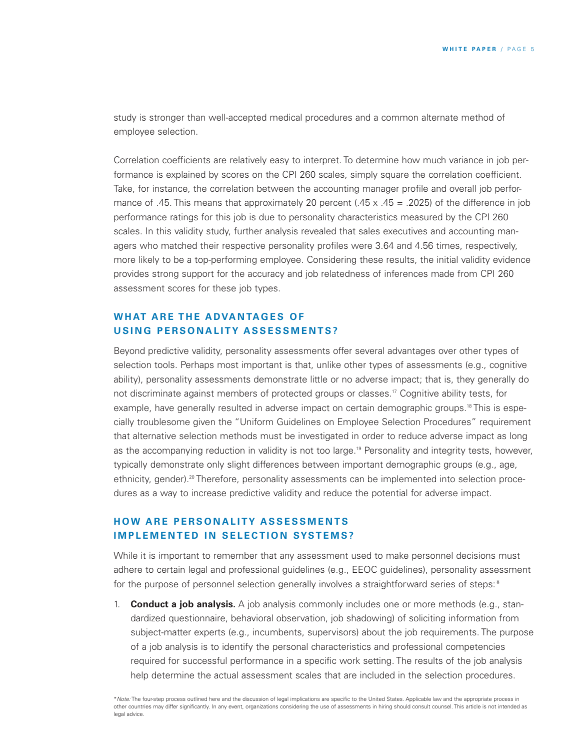study is stronger than well-accepted medical procedures and a common alternate method of employee selection.

Correlation coefficients are relatively easy to interpret. To determine how much variance in job performance is explained by scores on the CPI 260 scales, simply square the correlation coefficient. Take, for instance, the correlation between the accounting manager profile and overall job performance of .45. This means that approximately 20 percent (.45  $\times$  .45 = .2025) of the difference in job performance ratings for this job is due to personality characteristics measured by the CPI 260 scales. In this validity study, further analysis revealed that sales executives and accounting managers who matched their respective personality profiles were 3.64 and 4.56 times, respectively, more likely to be a top-performing employee. Considering these results, the initial validity evidence provides strong support for the accuracy and job relatedness of inferences made from CPI 260 assessment scores for these job types.

# **W H AT A R E T H E A DVA N TAG E S O F U S I N G P ERS O N A L I TY A S S E SS M E N TS ?**

Beyond predictive validity, personality assessments offer several advantages over other types of selection tools. Perhaps most important is that, unlike other types of assessments (e.g., cognitive ability), personality assessments demonstrate little or no adverse impact; that is, they generally do not discriminate against members of protected groups or classes. <sup>17</sup> Cognitive ability tests, for example, have generally resulted in adverse impact on certain demographic groups.<sup>18</sup> This is especially troublesome given the "Uniform Guidelines on Employee Selection Procedures" requirement that alternative selection methods must be investigated in order to reduce adverse impact as long as the accompanying reduction in validity is not too large. <sup>19</sup> Personality and integrity tests, however, typically demonstrate only slight differences between important demographic groups (e.g., age, ethnicity, gender). <sup>20</sup> Therefore, personality assessments can be implemented into selection procedures as a way to increase predictive validity and reduce the potential for adverse impact.

# **H OW A R E P ERS O N A L I TY A S SE S S M E N TS IMPLEMENTED IN SELECTION SYSTEMS?**

While it is important to remember that any assessment used to make personnel decisions must adhere to certain legal and professional guidelines (e.g., EEOC guidelines), personality assessment for the purpose of personnel selection generally involves a straightforward series of steps:\*

1. **Conduct a job analysis.** A job analysis commonly includes one or more methods (e.g., standardized questionnaire, behavioral observation, job shadowing) of soliciting information from subject-matter experts (e.g., incumbents, supervisors) about the job requirements. The purpose of a job analysis is to identify the personal characteristics and professional competencies required for successful performance in a specific work setting. The results of the job analysis help determine the actual assessment scales that are included in the selection procedures.

<sup>\*</sup>*Note:* The four-step process outlined here and the discussion of legal implications are specific to the United States. Applicable law and the appropriate process in other countries may differ significantly. In any event, organizations considering the use of assessments in hiring should consult counsel. This article is not intended as legal advice.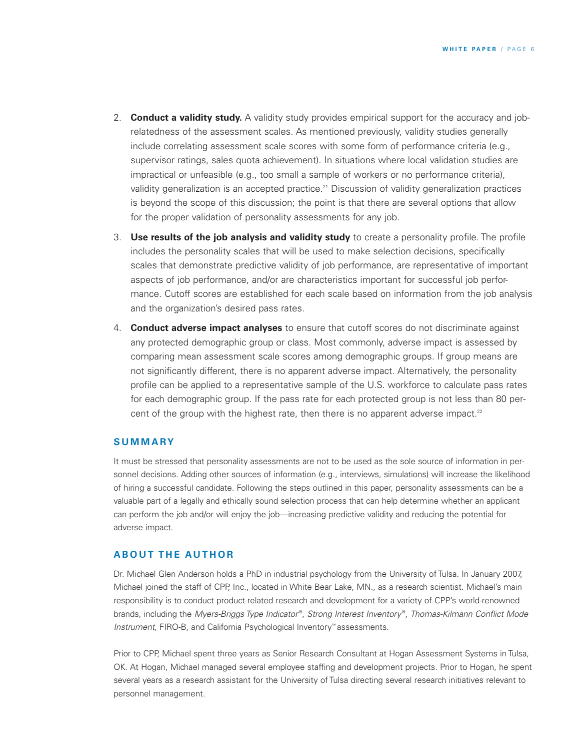- 2. **Conduct a validity study.** A validity study provides empirical support for the accuracy and jobrelatedness of the assessment scales. As mentioned previously, validity studies generally include correlating assessment scale scores with some form of performance criteria (e.g., supervisor ratings, sales quota achievement). In situations where local validation studies are impractical or unfeasible (e.g., too small a sample of workers or no performance criteria), validity generalization is an accepted practice.<sup>21</sup> Discussion of validity generalization practices is beyond the scope of this discussion; the point is that there are several options that allow for the proper validation of personality assessments for any job.
- 3. **Use results of the job analysis and validity study** to create a personality profile. The profile includes the personality scales that will be used to make selection decisions, specifically scales that demonstrate predictive validity of job performance, are representative of important aspects of job performance, and/or are characteristics important for successful job performance. Cutoff scores are established for each scale based on information from the job analysis and the organization's desired pass rates.
- 4. **Conduct adverse impact analyses** to ensure that cutoff scores do not discriminate against any protected demographic group or class. Most commonly, adverse impact is assessed by comparing mean assessment scale scores among demographic groups. If group means are not significantly different, there is no apparent adverse impact. Alternatively, the personality profile can be applied to a representative sample of the U.S. workforce to calculate pass rates for each demographic group. If the pass rate for each protected group is not less than 80 percent of the group with the highest rate, then there is no apparent adverse impact.<sup>22</sup>

#### **S U M M A RY**

It must be stressed that personality assessments are not to be used as the sole source of information in personnel decisions. Adding other sources of information (e.g., interviews, simulations) will increase the likelihood of hiring a successful candidate. Following the steps outlined in this paper, personality assessments can be a valuable part of a legally and ethically sound selection process that can help determine whether an applicant can perform the job and/or will enjoy the job—increasing predictive validity and reducing the potential for adverse impact.

## **ABOUT THE AUTHOR**

Dr. Michael Glen Anderson holds a PhD in industrial psychology from the University of Tulsa. In January 2007, Michael joined the staff of CPP, Inc., located in White Bear Lake, MN., as a research scientist. Michael's main responsibility is to conduct product-related research and development for a variety of CPP's world-renowned brands, including the *Myers-Briggs Type Indicator* ®, *Strong Interest Inventory* ®, *Thomas-Kilmann Conflict Mode Instrument,* FIRO-B, and California Psychological Inventory™ assessments.

Prior to CPP, Michael spent three years as Senior Research Consultant at Hogan Assessment Systems in Tulsa, OK. At Hogan, Michael managed several employee staffing and development projects. Prior to Hogan, he spent several years as a research assistant for the University of Tulsa directing several research initiatives relevant to personnel management.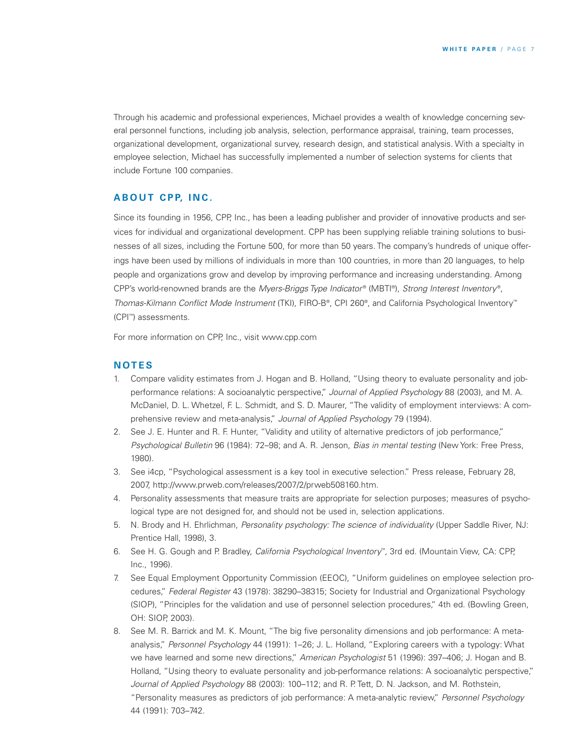Through his academic and professional experiences, Michael provides a wealth of knowledge concerning several personnel functions, including job analysis, selection, performance appraisal, training, team processes, organizational development, organizational survey, research design, and statistical analysis. With a specialty in employee selection, Michael has successfully implemented a number of selection systems for clients that include Fortune 100 companies.

### **A B O U T C P P, I N C .**

Since its founding in 1956, CPP, Inc., has been a leading publisher and provider of innovative products and services for individual and organizational development. CPP has been supplying reliable training solutions to businesses of all sizes, including the Fortune 500, for more than 50 years. The company's hundreds of unique offerings have been used by millions of individuals in more than 100 countries, in more than 20 languages, to help people and organizations grow and develop by improving performance and increasing understanding. Among CPP's world-renowned brands are the *Myers-Briggs Type Indicator* ® (MBTI ®), *Strong Interest Inventory* ®, *Thomas-Kilmann Conflict Mode Instrument* (TKI), FIRO-B®, CPI 260®, and California Psychological Inventory™ (CPI ™) assessments.

For more information on CPP, Inc., visit www.cpp.com

#### **N OT E S**

- 1. Compare validity estimates from J. Hogan and B. Holland, "Using theory to evaluate personality and jobperformance relations: A socioanalytic perspective," *Journal of Applied Psychology* 88 (2003), and M. A. McDaniel, D. L. Whetzel, F. L. Schmidt, and S. D. Maurer, "The validity of employment interviews: A comprehensive review and meta-analysis," *Journal of Applied Psychology* 79 (1994).
- 2. See J. E. Hunter and R. F. Hunter, "Validity and utility of alternative predictors of job performance," *Psychological Bulletin* 96 (1984): 72–98; and A. R. Jenson, *Bias in mental testing* (New York: Free Press, 1980).
- 3. See i4cp, "Psychological assessment is a key tool in executive selection." Press release, February 28, 2007, http://www.prweb.com/releases/2007/2/prweb508160.htm.
- 4. Personality assessments that measure traits are appropriate for selection purposes; measures of psychological type are not designed for, and should not be used in, selection applications.
- 5. N. Brody and H. Ehrlichman, *Personality psychology: The science of individuality* (Upper Saddle River, NJ: Prentice Hall, 1998), 3.
- 6. See H. G. Gough and P. Bradley, *California Psychological Inventory*™, 3rd ed. (Mountain View, CA: CPP, Inc., 1996).
- 7. See Equal Employment Opportunity Commission (EEOC), "Uniform guidelines on employee selection procedures," *Federal Register* 43 (1978): 38290–38315; Society for Industrial and Organizational Psychology (SIOP), "Principles for the validation and use of personnel selection procedures," 4th ed. (Bowling Green, OH: SIOP, 2003).
- 8. See M. R. Barrick and M. K. Mount, "The big five personality dimensions and job performance: A metaanalysis," *Personnel Psychology* 44 (1991): 1–26; J. L. Holland, "Exploring careers with a typology: What we have learned and some new directions," *American Psychologist* 51 (1996): 397–406; J. Hogan and B. Holland, "Using theory to evaluate personality and job-performance relations: A socioanalytic perspective," *Journal of Applied Psychology* 88 (2003): 100–112; and R. P. Tett, D. N. Jackson, and M. Rothstein, "Personality measures as predictors of job performance: A meta-analytic review," *Personnel Psychology* 44 (1991): 703–742.